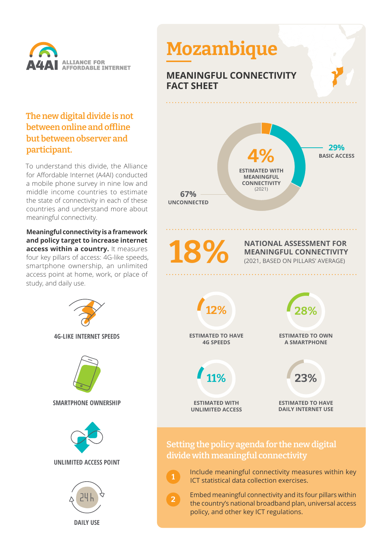

## **The new digital divide is not between online and offline but between observer and participant.**

To understand this divide, the Alliance for Affordable Internet (A4AI) conducted a mobile phone survey in nine low and middle income countries to estimate the state of connectivity in each of these countries and understand more about meaningful connectivity.

**Meaningful connectivity is a framework and policy target to increase internet access within a country.** It measures four key pillars of access: 4G-like speeds, smartphone ownership, an unlimited access point at home, work, or place of study, and daily use.

> **4G-LIKE INTERNET SPEEDS SMARTPHONE OWNERSHIP UNLIMITED ACCESS POINT**

**DAILY USE**



**1**

**2**

 Include meaningful connectivity measures within key ICT statistical data collection exercises.

 Embed meaningful connectivity and its four pillars within the country's national broadband plan, universal access policy, and other key ICT regulations.